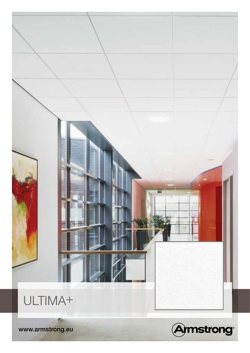

www.armstrong.eu